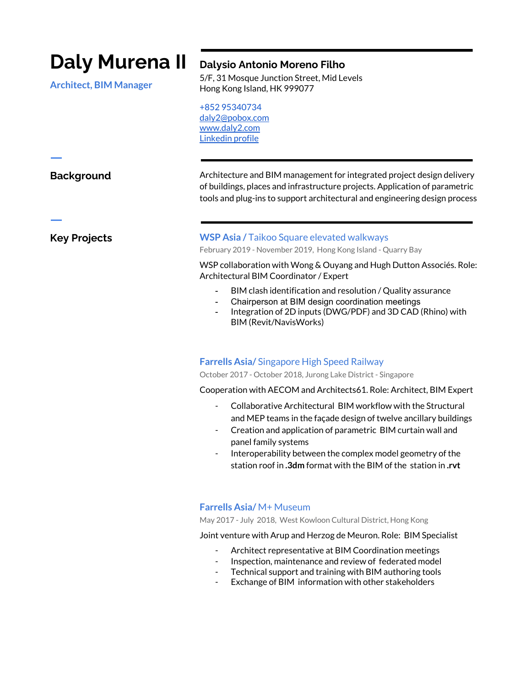# **Daly Murena II**

**Architect, BIM Manager**

# **Dalysio Antonio Moreno Filho**

5/F, 31 Mosque Junction Street, Mid Levels Hong Kong Island, HK 999077

+852 95340734 [daly2@pobox.com](mailto:daly2@pobox.com) [www.daly2.com](http://www.daly2.com/) [Linkedin](https://www.linkedin.com/in/archdaly/) profile

**Background Exercise 3 Architecture and BIM management for integrated project design delivery** of buildings, places and infrastructure projects. Application of parametric tools and plug-ins to support architectural and engineering design process

ㅡ

ㅡ

**Key Projects WSP Asia /** Taikoo Square elevated walkways

February 2019 - November 2019, Hong Kong Island - Quarry Bay

WSP collaboration with Wong & Ouyang and Hugh Dutton Associés. Role: Architectural BIM Coordinator / Expert

- BIM clash identification and resolution / Quality assurance
- Chairperson at BIM design coordination meetings
- Integration of 2D inputs (DWG/PDF) and 3D CAD (Rhino) with BIM (Revit/NavisWorks)

# **Farrells Asia/** Singapore High Speed Railway

October 2017 - October 2018, Jurong Lake District - Singapore

Cooperation with AECOM and Architects61. Role: Architect, BIM Expert

- Collaborative Architectural BIM workflow with the Structural and MEP teams in the façade design of twelve ancillary buildings
- Creation and application of parametric BIM curtain wall and panel family systems
- Interoperability between the complex model geometry of the station roof in **.3dm** format with the BIM of the station in **.rvt**

# **Farrells Asia/** M+ Museum

May 2017 - July 2018, West Kowloon Cultural District, Hong Kong

Joint venture with Arup and Herzog de Meuron. Role: BIM Specialist

- Architect representative at BIM Coordination meetings
- Inspection, maintenance and review of federated model
- Technical support and training with BIM authoring tools
- Exchange of BIM information with other stakeholders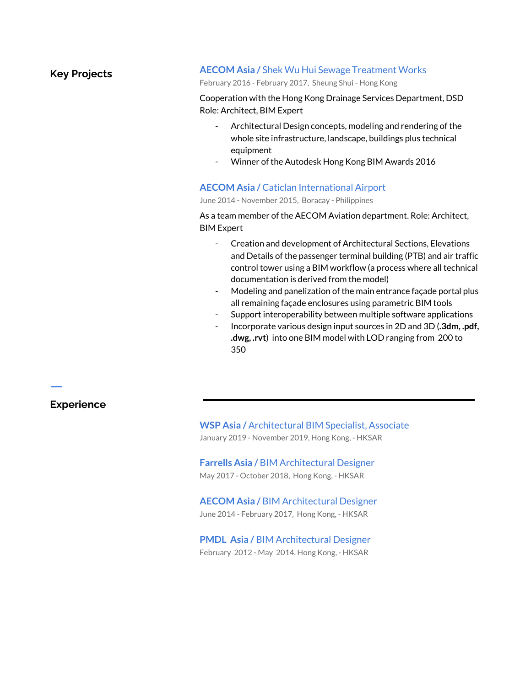# **Key Projects**

#### **AECOM Asia /** Shek Wu Hui Sewage Treatment Works

February 2016 - February 2017, Sheung Shui - Hong Kong

Cooperation with the Hong Kong Drainage Services Department, DSD Role: Architect, BIM Expert

- Architectural Design concepts, modeling and rendering of the whole site infrastructure, landscape, buildings plus technical equipment
- Winner of the Autodesk Hong Kong BIM Awards 2016

### **AECOM Asia /** Caticlan International Airport

June 2014 - November 2015, Boracay - Philippines

As a team member of the AECOM Aviation department. Role: Architect, BIM Expert

- Creation and development of Architectural Sections, Elevations and Details of the passenger terminal building (PTB) and air traffic control tower using a BIM workflow (a process where all technical documentation is derived from the model)
- Modeling and panelization of the main entrance façade portal plus all remaining façade enclosures using parametric BIM tools
- Support interoperability between multiple software applications
- Incorporate various design input sources in 2D and 3D (**.3dm, .pdf, .dwg, .rvt**) into one BIM model with LOD ranging from 200 to 350

## **Experience**

ㅡ

**WSP Asia /** Architectural BIM Specialist, Associate January 2019 - November 2019, Hong Kong, - HKSAR

**Farrells Asia /** BIM Architectural Designer May 2017 - October 2018, Hong Kong, - HKSAR

**AECOM Asia /** BIM Architectural Designer June 2014 - February 2017, Hong Kong, - HKSAR

**PMDL Asia /** BIM Architectural Designer February 2012 - May 2014, Hong Kong, - HKSAR